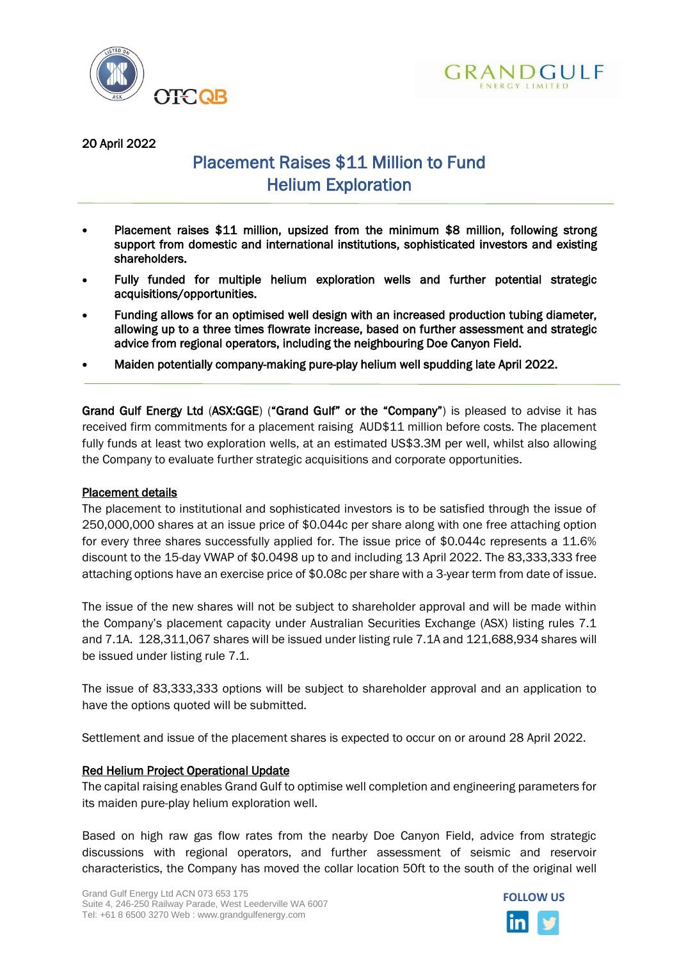



20 April 2022

# Placement Raises \$11 Million to Fund Helium Exploration

- Placement raises \$11 million, upsized from the minimum \$8 million, following strong support from domestic and international institutions, sophisticated investors and existing shareholders.
- Fully funded for multiple helium exploration wells and further potential strategic acquisitions/opportunities.
- Funding allows for an optimised well design with an increased production tubing diameter, allowing up to a three times flowrate increase, based on further assessment and strategic advice from regional operators, including the neighbouring Doe Canyon Field.
- Maiden potentially company-making pure-play helium well spudding late April 2022.

Grand Gulf Energy Ltd (ASX:GGE) ("Grand Gulf" or the "Company") is pleased to advise it has received firm commitments for a placement raising AUD\$11 million before costs. The placement fully funds at least two exploration wells, at an estimated US\$3.3M per well, whilst also allowing the Company to evaluate further strategic acquisitions and corporate opportunities.

## Placement details

The placement to institutional and sophisticated investors is to be satisfied through the issue of 250,000,000 shares at an issue price of \$0.044c per share along with one free attaching option for every three shares successfully applied for. The issue price of \$0.044c represents a 11.6% discount to the 15-day VWAP of \$0.0498 up to and including 13 April 2022. The 83,333,333 free attaching options have an exercise price of \$0.08c per share with a 3-year term from date of issue.

The issue of the new shares will not be subject to shareholder approval and will be made within the Company's placement capacity under Australian Securities Exchange (ASX) listing rules 7.1 and 7.1A. 128,311,067 shares will be issued under listing rule 7.1A and 121,688,934 shares will be issued under listing rule 7.1.

The issue of 83,333,333 options will be subject to shareholder approval and an application to have the options quoted will be submitted.

Settlement and issue of the placement shares is expected to occur on or around 28 April 2022.

## Red Helium Project Operational Update

The capital raising enables Grand Gulf to optimise well completion and engineering parameters for its maiden pure-play helium exploration well.

Based on high raw gas flow rates from the nearby Doe Canyon Field, advice from strategic discussions with regional operators, and further assessment of seismic and reservoir characteristics, the Company has moved the collar location 50ft to the south of the original well